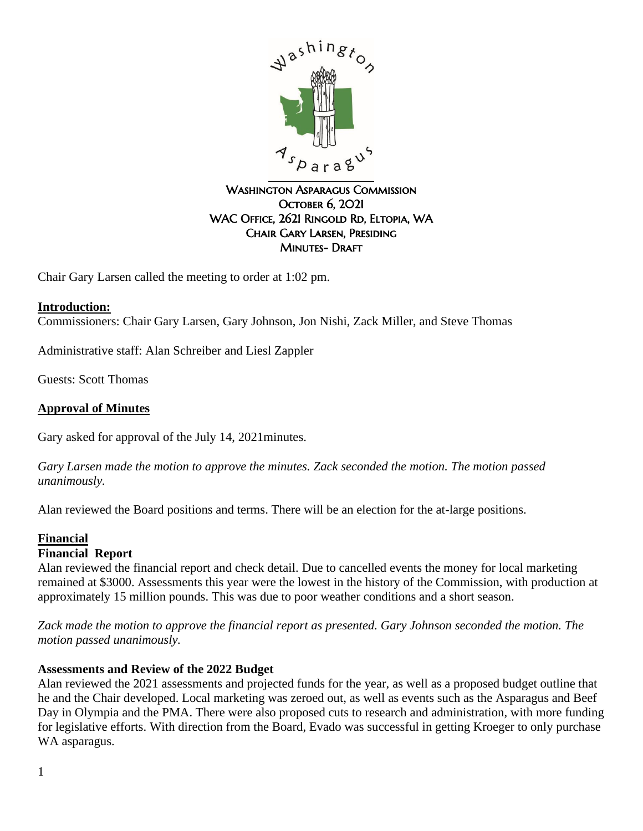

### WASHINGTON ASPARAGUS COMMISSION **OCTOBER 6, 2021** WAC Office, 2621 Ringold Rd, Eltopia, WA Chair Gary Larsen, Presiding **MINUTES- DRAFT**

Chair Gary Larsen called the meeting to order at 1:02 pm.

## **Introduction:**

Commissioners: Chair Gary Larsen, Gary Johnson, Jon Nishi, Zack Miller, and Steve Thomas

Administrative staff: Alan Schreiber and Liesl Zappler

Guests: Scott Thomas

### **Approval of Minutes**

Gary asked for approval of the July 14, 2021minutes.

*Gary Larsen made the motion to approve the minutes. Zack seconded the motion. The motion passed unanimously.*

Alan reviewed the Board positions and terms. There will be an election for the at-large positions.

# **Financial**

# **Financial Report**

Alan reviewed the financial report and check detail. Due to cancelled events the money for local marketing remained at \$3000. Assessments this year were the lowest in the history of the Commission, with production at approximately 15 million pounds. This was due to poor weather conditions and a short season.

*Zack made the motion to approve the financial report as presented. Gary Johnson seconded the motion. The motion passed unanimously.*

### **Assessments and Review of the 2022 Budget**

Alan reviewed the 2021 assessments and projected funds for the year, as well as a proposed budget outline that he and the Chair developed. Local marketing was zeroed out, as well as events such as the Asparagus and Beef Day in Olympia and the PMA. There were also proposed cuts to research and administration, with more funding for legislative efforts. With direction from the Board, Evado was successful in getting Kroeger to only purchase WA asparagus.